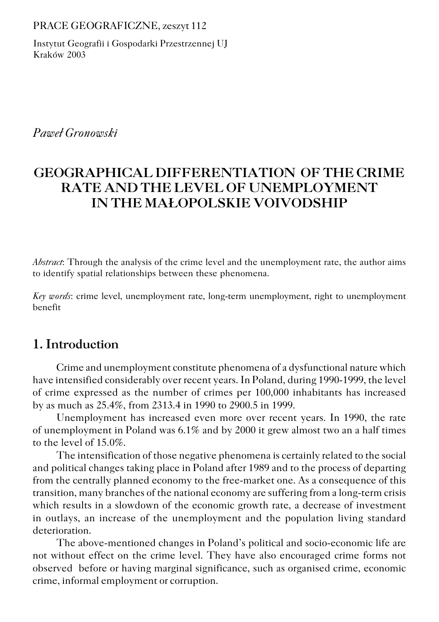PRACE GEOGRAFICZNE, zeszyt 112

Instytut Geografii i Gospodarki Przestrzennej UJ Kraków 2003

*Paweł Gronowski*

# **GEOGRAPHICAL DIFFERENTIATION OF THE CRIME RATE AND THE LEVEL OF UNEMPLOYMENT IN THE MAŁOPOLSKIE VOIVODSHIP**

*Abstract*: Through the analysis of the crime level and the unemployment rate, the author aims to identify spatial relationships between these phenomena.

*Key words*: crime level, unemployment rate, long−term unemployment, right to unemployment benefit

# **1. Introduction**

Crime and unemployment constitute phenomena of a dysfunctional nature which have intensified considerably over recent years. In Poland, during 1990−1999, the level of crime expressed as the number of crimes per 100,000 inhabitants has increased by as much as 25.4%, from 2313.4 in 1990 to 2900.5 in 1999.

Unemployment has increased even more over recent years. In 1990, the rate of unemployment in Poland was 6.1% and by 2000 it grew almost two an a half times to the level of 15.0%.

The intensification of those negative phenomena is certainly related to the social and political changes taking place in Poland after 1989 and to the process of departing from the centrally planned economy to the free−market one. As a consequence of this transition, many branches of the national economy are suffering from a long−term crisis which results in a slowdown of the economic growth rate, a decrease of investment in outlays, an increase of the unemployment and the population living standard deterioration.

The above−mentioned changes in Poland's political and socio−economic life are not without effect on the crime level. They have also encouraged crime forms not observed before or having marginal significance, such as organised crime, economic crime, informal employment or corruption.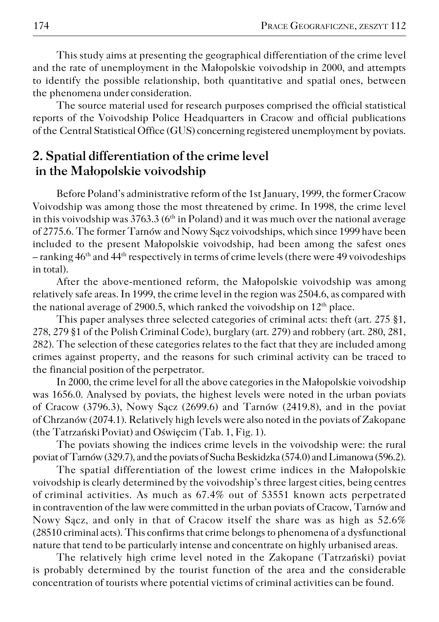This study aims at presenting the geographical differentiation of the crime level and the rate of unemployment in the Małopolskie voivodship in 2000, and attempts to identify the possible relationship, both quantitative and spatial ones, between the phenomena under consideration.

The source material used for research purposes comprised the official statistical reports of the Voivodship Police Headquarters in Cracow and official publications of theCentral Statistical Office (GUS) concerning registered unemployment by poviats.

## **2. Spatial differentiation of the crime level in the Małopolskie voivodship**

Before Poland's administrative reform of the 1st January, 1999, the former Cracow Voivodship was among those the most threatened by crime. In 1998, the crime level in this voivodship was  $3763.3$  (6<sup>th</sup> in Poland) and it was much over the national average of 2775.6. The former Tarnów and Nowy Sącz voivodships, which since 1999 have been included to the present Małopolskie voivodship, had been among the safest ones  $-$  ranking  $46<sup>th</sup>$  and  $44<sup>th</sup>$  respectively in terms of crime levels (there were 49 voivodeships in total).

After the above−mentioned reform, the Małopolskie voivodship was among relatively safe areas. In 1999, the crime level in the region was 2504.6, as compared with the national average of 2900.5, which ranked the voivodship on  $12<sup>th</sup>$  place.

This paper analyses three selected categories of criminal acts: theft (art. 275 §1, 278, 279 §1 of the Polish Criminal Code), burglary (art. 279) and robbery (art. 280, 281, 282). The selection of these categories relates to the fact that they are included among crimes against property, and the reasons for such criminal activity can be traced to the financial position of the perpetrator.

In 2000, the crime level for all the above categories in the Małopolskie voivodship was 1656.0. Analysed by poviats, the highest levels were noted in the urban poviats of Cracow (3796.3), Nowy Sącz (2699.6) and Tarnów (2419.8), and in the poviat of Chrzanów (2074.1). Relatively high levels were also noted in the poviats of Zakopane (the Tatrzański Poviat) and Oświęcim (Tab. 1, Fig. 1).

The poviats showing the indices crime levels in the voivodship were: the rural poviat of Tarnów (329.7), and the poviats of Sucha Beskidzka (574.0) and Limanowa (596.2).

The spatial differentiation of the lowest crime indices in the Małopolskie voivodship is clearly determined by the voivodship's three largest cities, being centres of criminal activities. As much as 67.4% out of 53551 known acts perpetrated in contravention of the law were committed in the urban poviats of Cracow, Tarnów and Nowy Sącz, and only in that of Cracow itself the share was as high as 52.6% (28510 criminal acts). This confirms that crime belongs to phenomena of a dysfunctional nature that tend to be particularly intense and concentrate on highly urbanised areas.

The relatively high crime level noted in the Zakopane (Tatrzański) poviat is probably determined by the tourist function of the area and the considerable concentration of tourists where potential victims of criminal activities can be found.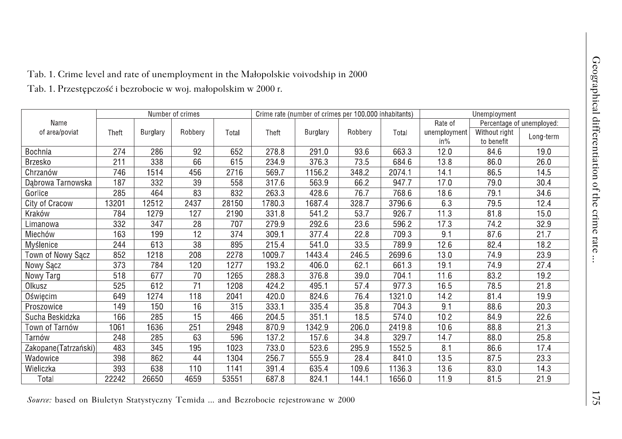|  |  | Fab. 1. Crime level and rate of unemployment in the Małopolskie voivodship in 2000 |
|--|--|------------------------------------------------------------------------------------|
|--|--|------------------------------------------------------------------------------------|

| Name<br>of area/poviat | Number of crimes |          |         | Crime rate (number of crimes per 100.000 inhabitants) |        |          | Unemployment |        |                                      |                             |           |
|------------------------|------------------|----------|---------|-------------------------------------------------------|--------|----------|--------------|--------|--------------------------------------|-----------------------------|-----------|
|                        |                  |          |         |                                                       |        |          |              |        | Rate of<br>Percentage of unemployed: |                             |           |
|                        | Theft            | Burglary | Robberv | Total                                                 | Theft  | Burglary | Robberv      | Total  | unemployment<br>$in\%$               | Without right<br>to benefit | Long-term |
| Bochnia                | 274              | 286      | 92      | 652                                                   | 278.8  | 291.0    | 93.6         | 663.3  | 12.0                                 | 846                         | 19.0      |
| <b>Brzesko</b>         | 211              | 338      | 66      | 615                                                   | 234.9  | 376.3    | 73.5         | 684.6  | 13.8                                 | 86.0                        | 26.0      |
| Chrzanów               | 746              | 1514     | 456     | 2716                                                  | 569.7  | 11562    | 348.2        | 2074.1 | 14.1                                 | 865                         | 14.5      |
| Dabrowa Tarnowska      | 187              | 332      | 39      | 558                                                   | 317.6  | 563.9    | 662          | 9477   | 170                                  | 79.0                        | 30.4      |
| Gorlice                | 285              | 464      | 83      | 832                                                   | 263.3  | 428.6    | 767          | 768.6  | 186                                  | 79.1                        | 34.6      |
| City of Cracow         | 13201            | 12512    | 2437    | 28150                                                 | 17803  | 1687.4   | 328.7        | 3796.6 | 63                                   | 795                         | 12.4      |
| Kraków                 | 784              | 1279     | 127     | 2190                                                  | 331.8  | 5412     | 53.7         | 926.7  | 11.3                                 | 81.8                        | 15.0      |
| Limanowa               | 332              | 347      | 28      | 707                                                   | 279.9  | 292.6    | 23.6         | 596.2  | 17.3                                 | 74.2                        | 32.9      |
| Miechów                | 163              | 199      | 12      | 374                                                   | 309.1  | 377.4    | 22.8         | 709.3  | 9.1                                  | 87.6                        | 21.7      |
| Myślenice              | 244              | 613      | 38      | 895                                                   | 215.4  | 541.0    | 33.5         | 7899   | 126                                  | 82.4                        | 18.2      |
| Town of Nowy Sącz      | 852              | 1218     | 208     | 2278                                                  | 1009.7 | 1443.4   | 246.5        | 2699.6 | 13.0                                 | 74.9                        | 23.9      |
| Nowy Sacz              | 373              | 784      | 120     | 1277                                                  | 193.2  | 406.0    | 62.1         | 661.3  | 19.1                                 | 74.9                        | 27.4      |
| Nowy Targ              | 518              | 677      | 70      | 1265                                                  | 288.3  | 376.8    | 39.0         | 704.1  | 11.6                                 | 83.2                        | 19.2      |
| Olkusz                 | 525              | 612      | 71      | 1208                                                  | 424.2  | 495.1    | 57.4         | 977.3  | 16.5                                 | 78.5                        | 21.8      |
| Oświęcim               | 649              | 1274     | 118     | 2041                                                  | 420.0  | 824.6    | 76.4         | 1321.0 | 142                                  | 81.4                        | 19.9      |
| Proszowice             | 149              | 150      | 16      | 315                                                   | 333.1  | 335.4    | 35.8         | 7043   | 9.1                                  | 88.6                        | 203       |
| Sucha Beskidzka        | 166              | 285      | 15      | 466                                                   | 204.5  | 351.1    | 185          | 574.0  | 10 <sub>2</sub>                      | 849                         | 22.6      |
| Town of Tarnów         | 1061             | 1636     | 251     | 2948                                                  | 870.9  | 1342.9   | 206.0        | 2419.8 | 106                                  | 88.8                        | 21.3      |
| Tarnów                 | 248              | 285      | 63      | 596                                                   | 137.2  | 157.6    | 34.8         | 3297   | 147                                  | 88.0                        | 25.8      |
| Zakopane(Tatrzański)   | 483              | 345      | 195     | 1023                                                  | 733.0  | 523.6    | 295.9        | 1552.5 | 8.1                                  | 86.6                        | 17.4      |
| Wadowice               | 398              | 862      | 44      | 1304                                                  | 256.7  | 555.9    | 28.4         | 8410   | 13.5                                 | 875                         | 23.3      |
| Wieliczka              | 393              | 638      | 110     | 1141                                                  | 391.4  | 635.4    | 109.6        | 1136.3 | $13.\overline{6}$                    | 83.0                        | 14.3      |
| Total                  | 22242            | 26650    | 4659    | 53551                                                 | 6878   | 824.1    | 144.1        | 1656.0 | 11.9                                 | 81.5                        | 21.9      |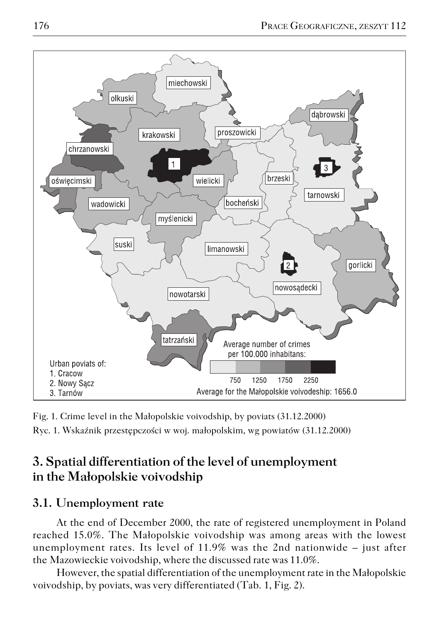

Fig. 1. Crime level in the Małopolskie voivodship, by poviats (31.12.2000) Ryc. 1. Wskaźnik przestępczości w woj. małopolskim, wg powiatów (31.12.2000)

# **3. Spatial differentiation of the level of unemployment in the Małopolskie voivodship**

## **3.1. Unemployment rate**

At the end of December 2000, the rate of registered unemployment in Poland reached 15.0%. The Małopolskie voivodship was among areas with the lowest unemployment rates. Its level of  $11.9\%$  was the 2nd nationwide – just after the Mazowieckie voivodship, where the discussed rate was 11.0%.

However, the spatial differentiation of the unemployment rate in the Małopolskie voivodship, by poviats, was very differentiated (Tab.1, Fig. 2).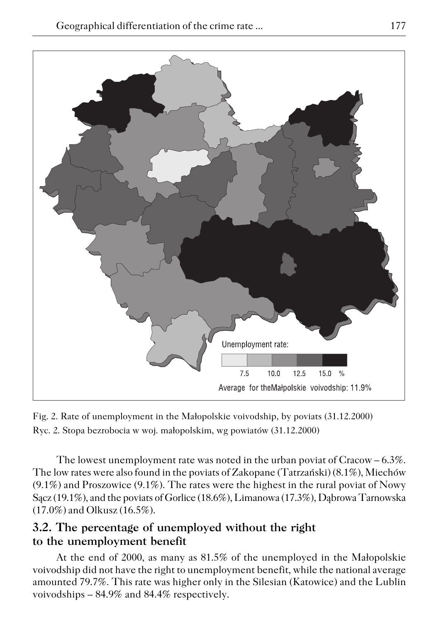

Fig. 2. Rate of unemployment in the Małopolskie voivodship, by poviats (31.12.2000) Ryc. 2. Stopa bezrobocia w woj. małopolskim, wg powiatów (31.12.2000)

The lowest unemployment rate was noted in the urban poviat of Cracow – 6.3%. The low rates were also found in the poviats of Zakopane (Tatrzański) (8.1%), Miechów (9.1%) and Proszowice (9.1%). The rates were the highest in the rural poviat of Nowy Sącz (19.1%), and the poviats of Gorlice (18.6%), Limanowa (17.3%), Dąbrowa Tarnowska (17.0%) and Olkusz (16.5%).

## **3.2. The percentage of unemployed without the right to the unemployment benefit**

At the end of 2000, as many as 81.5% of the unemployed in the Małopolskie voivodship did not have the right to unemployment benefit, while the national average amounted 79.7%. This rate was higher only in the Silesian (Katowice) and the Lublin voivodships – 84.9% and 84.4% respectively.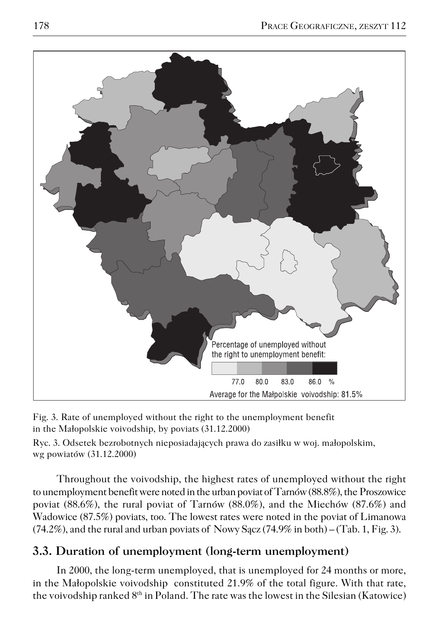

Fig. 3. Rate of unemployed without the right to the unemployment benefit in the Małopolskie voivodship, by poviats (31.12.2000)

Ryc. 3. Odsetek bezrobotnych nieposiadających prawa do zasiłku w woj. małopolskim, wg powiatów (31.12.2000)

Throughout the voivodship, the highest rates of unemployed without the right to unemployment benefit were noted in the urban poviat of Tarnów (88.8%), the Proszowice poviat (88.6%), the rural poviat of Tarnów (88.0%), and the Miechów (87.6%) and Wadowice (87.5%) poviats, too. The lowest rates were noted in the poviat of Limanowa  $(74.2\%)$ , and the rural and urban poviats of Nowy Sacz  $(74.9\%$  in both) – (Tab. 1, Fig. 3).

## **3.3. Duration of unemployment (long−term unemployment)**

In 2000, the long−term unemployed, that is unemployed for 24 months or more, in the Małopolskie voivodship constituted 21.9% of the total figure. With that rate, the voivodship ranked  $8<sup>th</sup>$  in Poland. The rate was the lowest in the Silesian (Katowice)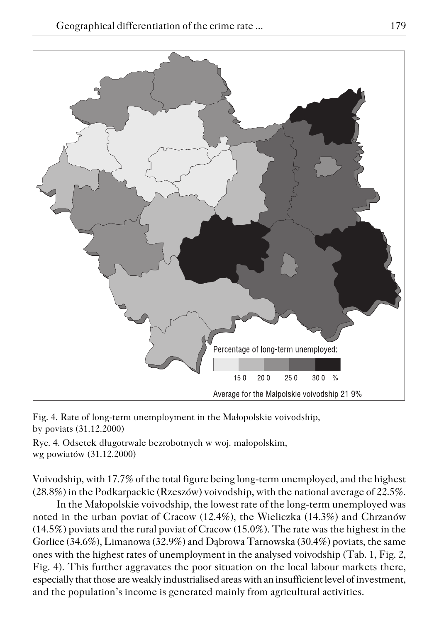

Fig. 4. Rate of long−term unemployment in the Małopolskie voivodship, by poviats (31.12.2000)

Ryc. 4. Odsetek długotrwale bezrobotnych w woj. małopolskim, wg powiatów (31.12.2000)

Voivodship, with 17.7% of the total figure being long−term unemployed, and the highest (28.8%) in the Podkarpackie (Rzeszów) voivodship, with the national average of 22.5%.

In the Małopolskie voivodship, the lowest rate of the long−term unemployed was noted in the urban poviat of Cracow (12.4%), the Wieliczka (14.3%) and Chrzanów (14.5%) poviats and the rural poviat of Cracow (15.0%). The rate was the highest in the Gorlice (34.6%), Limanowa (32.9%) and Dąbrowa Tarnowska (30.4%) poviats, the same ones with the highest rates of unemployment in the analysed voivodship (Tab. 1, Fig. 2, Fig. 4). This further aggravates the poor situation on the local labour markets there, especially that those are weakly industrialised areas with an insufficient level of investment, and the population's income is generated mainly from agricultural activities.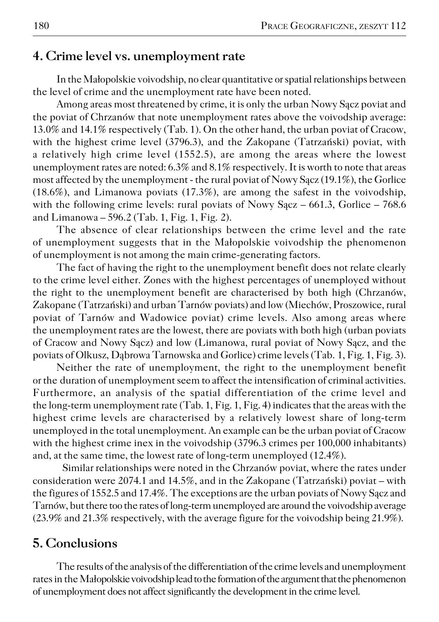### **4. Crime level vs. unemployment rate**

In the Małopolskie voivodship, no clear quantitative or spatial relationships between the level of crime and the unemployment rate have been noted.

Among areas most threatened by crime, it is only the urban Nowy Sącz poviat and the poviat of Chrzanów that note unemployment rates above the voivodship average: 13.0% and 14.1% respectively (Tab. 1). On the other hand, the urban poviat of Cracow, with the highest crime level (3796.3), and the Zakopane (Tatrzański) poviat, with a relatively high crime level (1552.5), are among the areas where the lowest unemployment rates are noted: 6.3% and 8.1% respectively. It is worth to note that areas most affected by the unemployment − the rural poviat of Nowy Sącz (19.1%), the Gorlice (18.6%), and Limanowa poviats (17.3%), are among the safest in the voivodship, with the following crime levels: rural poviats of Nowy Sącz – 661.3, Gorlice – 768.6 and Limanowa  $-596.2$  (Tab. 1, Fig. 1, Fig. 2).

The absence of clear relationships between the crime level and the rate of unemployment suggests that in the Małopolskie voivodship the phenomenon of unemployment is not among the main crime−generating factors.

The fact of having the right to the unemployment benefit does not relate clearly to the crime level either. Zones with the highest percentages of unemployed without the right to the unemployment benefit are characterised by both high (Chrzanów, Zakopane (Tatrzański) and urban Tarnów poviats) and low (Miechów, Proszowice, rural poviat of Tarnów and Wadowice poviat) crime levels. Also among areas where the unemployment rates are the lowest, there are poviats with both high (urban poviats of Cracow and Nowy Sącz) and low (Limanowa, rural poviat of Nowy Sącz, and the poviats of Olkusz, Dąbrowa Tarnowska and Gorlice) crime levels (Tab.1, Fig. 1, Fig. 3).

Neither the rate of unemployment, the right to the unemployment benefit or the duration of unemployment seem to affect the intensification of criminal activities. Furthermore, an analysis of the spatial differentiation of the crime level and the long−term unemployment rate (Tab. 1, Fig. 1, Fig. 4) indicates that the areas with the highest crime levels are characterised by a relatively lowest share of long−term unemployed in the total unemployment. An example can be the urban poviat of Cracow with the highest crime inex in the voivodship (3796.3 crimes per 100,000 inhabitants) and, at the same time, the lowest rate of long−term unemployed (12.4%).

Similar relationships were noted in the Chrzanów poviat, where the rates under consideration were 2074.1 and 14.5%, and in the Zakopane (Tatrzański) poviat – with the figures of 1552.5 and 17.4%. The exceptions are the urban poviats of Nowy Sącz and Tarnów, but there too the rates of long−term unemployed are around the voivodship average (23.9% and 21.3% respectively, with the average figure for the voivodship being 21.9%).

## **5. Conclusions**

The results of the analysis of the differentiation of the crime levels and unemployment rates in the Małopolskie voivodship lead to the formation of the argument that the phenomenon of unemployment does not affect significantly the development in the crime level.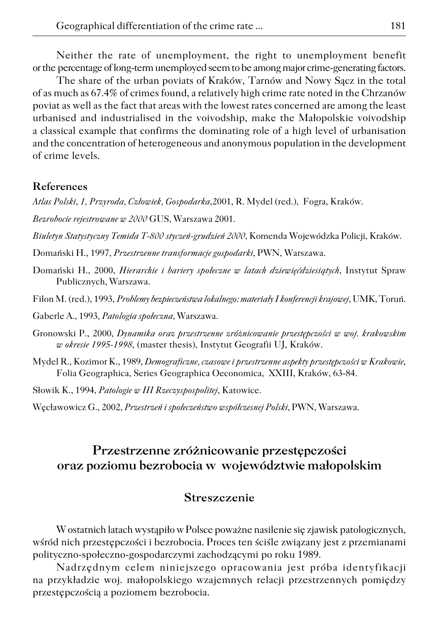Neither the rate of unemployment, the right to unemployment benefit or the percentage of long-term unemployed seem to be among major crime-generating factors.

The share of the urban poviats of Kraków, Tarnów and Nowy Sącz in the total of as much as 67.4% of crimes found, a relatively high crime rate noted in the Chrzanów poviat as well as the fact that areas with the lowest rates concerned are among the least urbanised and industrialised in the voivodship, make the Małopolskie voivodship a classical example that confirms the dominating role of a high level of urbanisation and the concentration of heterogeneous and anonymous population in the development of crime levels.

### **References**

*Atlas Polski*, *1, Przyroda, Człowiek, Gospodarka*,2001, R. Mydel (red.), Fogra, Kraków.

*Bezrobocie rejestrowane w 2000* GUS, Warszawa 2001.

*Biuletyn Statystyczny Temida T−800 styczeń−grudzień 2000*, Komenda Wojewódzka Policji, Kraków.

Domański H., 1997, *Przestrzenne transformacje gospodarki*, PWN, Warszawa.

Domański H., 2000, *Hierarchie i bariery społeczne w latach dziewięćdziesiątych*, Instytut Spraw Publicznych, Warszawa.

Filon M. (red.), 1993, *Problemy bezpieczeństwa lokalnego: materiały I konferencji krajowej*, UMK, Toruń.

Gaberle A., 1993, *Patologia społeczna*, Warszawa.

- Gronowski P., 2000, *Dynamika oraz przestrzenne zróżnicowanie przestępczości w woj. krakowskim w okresie 1995−1998*, (master thesis), Instytut Geografii UJ, Kraków.
- Mydel R., Kozimor K., 1989, *Demograficzne, czasowe i przestrzenne aspekty przestępczości w Krakowie*, Folia Geographica, Series Geographica Oeconomica, XXIII, Kraków, 63−84.

Słowik K., 1994, *Patologie w III Rzeczyspospolitej*, Katowice.

Węcławowicz G., 2002, *Przestrzeń i społeczeństwo współczesnej Polski*, PWN, Warszawa.

# **Przestrzenne zróżnicowanie przestępczości oraz poziomu bezrobocia w województwie małopolskim**

### **Streszczenie**

W ostatnich latach wystąpiło w Polsce poważne nasilenie się zjawisk patologicznych, wśród nich przestępczości i bezrobocia. Proces ten ściśle związany jest z przemianami polityczno−społeczno−gospodarczymi zachodzącymi po roku 1989.

Nadrzędnym celem niniejszego opracowania jest próba identyfikacji na przykładzie woj. małopolskiego wzajemnych relacji przestrzennych pomiędzy przestępczością a poziomem bezrobocia.